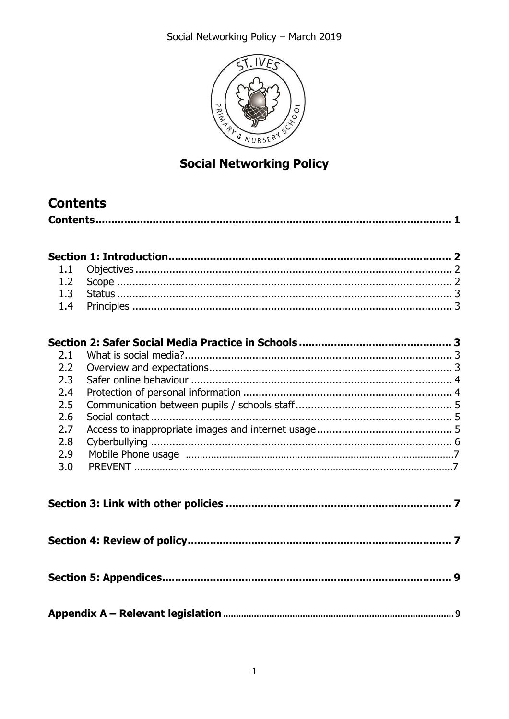Social Networking Policy - March 2019



# **Social Networking Policy**

# <span id="page-0-0"></span>**Contents**

|--|

| 2.1 |  |  |  |  |
|-----|--|--|--|--|
| 2.2 |  |  |  |  |
| 2.3 |  |  |  |  |
| 2.4 |  |  |  |  |
| 2.5 |  |  |  |  |
| 2.6 |  |  |  |  |
| 2.7 |  |  |  |  |
| 2.8 |  |  |  |  |
| 2.9 |  |  |  |  |
| 3.0 |  |  |  |  |
|     |  |  |  |  |
|     |  |  |  |  |
|     |  |  |  |  |
|     |  |  |  |  |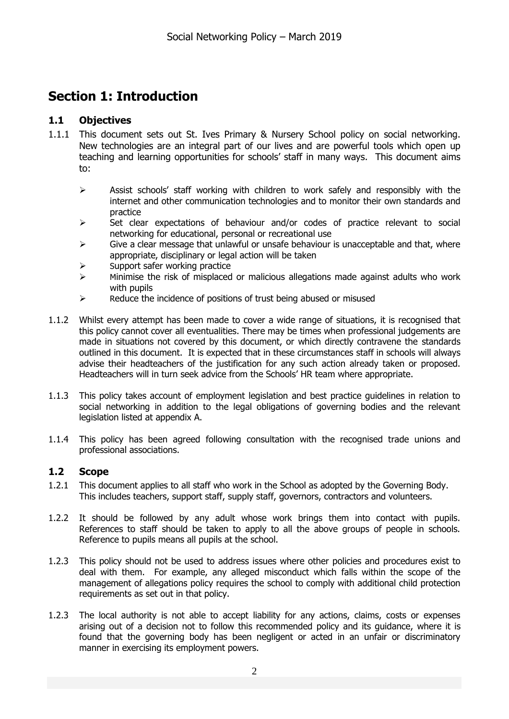# <span id="page-1-0"></span>**Section 1: Introduction**

## <span id="page-1-1"></span>**1.1 Objectives**

- 1.1.1 This document sets out St. Ives Primary & Nursery School policy on social networking. New technologies are an integral part of our lives and are powerful tools which open up teaching and learning opportunities for schools' staff in many ways. This document aims to:
	- $\triangleright$  Assist schools' staff working with children to work safely and responsibly with the internet and other communication technologies and to monitor their own standards and practice
	- $\triangleright$  Set clear expectations of behaviour and/or codes of practice relevant to social networking for educational, personal or recreational use
	- $\triangleright$  Give a clear message that unlawful or unsafe behaviour is unacceptable and that, where appropriate, disciplinary or legal action will be taken
	- $\triangleright$  Support safer working practice
	- $\triangleright$  Minimise the risk of misplaced or malicious allegations made against adults who work with pupils
	- $\triangleright$  Reduce the incidence of positions of trust being abused or misused
- 1.1.2 Whilst every attempt has been made to cover a wide range of situations, it is recognised that this policy cannot cover all eventualities. There may be times when professional judgements are made in situations not covered by this document, or which directly contravene the standards outlined in this document. It is expected that in these circumstances staff in schools will always advise their headteachers of the justification for any such action already taken or proposed. Headteachers will in turn seek advice from the Schools' HR team where appropriate.
- 1.1.3 This policy takes account of employment legislation and best practice guidelines in relation to social networking in addition to the legal obligations of governing bodies and the relevant legislation listed at appendix A.
- 1.1.4 This policy has been agreed following consultation with the recognised trade unions and professional associations.

## <span id="page-1-2"></span>**1.2 Scope**

- 1.2.1 This document applies to all staff who work in the School as adopted by the Governing Body. This includes teachers, support staff, supply staff, governors, contractors and volunteers.
- 1.2.2 It should be followed by any adult whose work brings them into contact with pupils. References to staff should be taken to apply to all the above groups of people in schools. Reference to pupils means all pupils at the school.
- 1.2.3 This policy should not be used to address issues where other policies and procedures exist to deal with them. For example, any alleged misconduct which falls within the scope of the management of allegations policy requires the school to comply with additional child protection requirements as set out in that policy.
- 1.2.3 The local authority is not able to accept liability for any actions, claims, costs or expenses arising out of a decision not to follow this recommended policy and its guidance, where it is found that the governing body has been negligent or acted in an unfair or discriminatory manner in exercising its employment powers.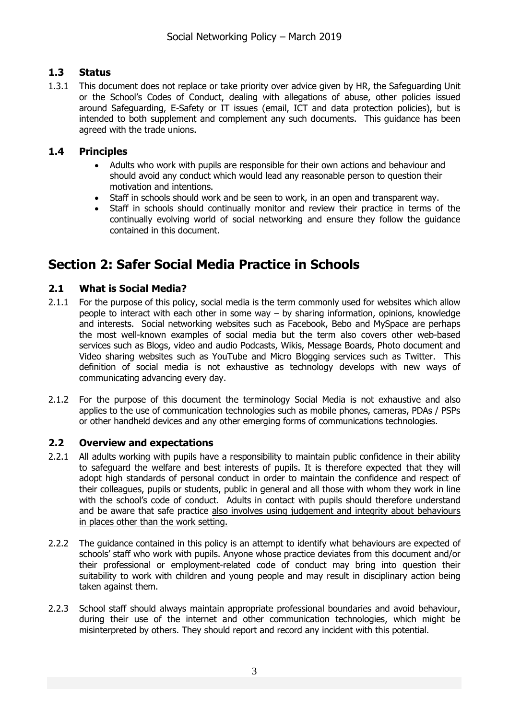# <span id="page-2-0"></span>**1.3 Status**

1.3.1 This document does not replace or take priority over advice given by HR, the Safeguarding Unit or the School's Codes of Conduct, dealing with allegations of abuse, other policies issued around Safeguarding, E-Safety or IT issues (email, ICT and data protection policies), but is intended to both supplement and complement any such documents. This guidance has been agreed with the trade unions.

## <span id="page-2-1"></span>**1.4 Principles**

- Adults who work with pupils are responsible for their own actions and behaviour and should avoid any conduct which would lead any reasonable person to question their motivation and intentions.
- Staff in schools should work and be seen to work, in an open and transparent way.
- Staff in schools should continually monitor and review their practice in terms of the continually evolving world of social networking and ensure they follow the guidance contained in this document.

# <span id="page-2-2"></span>**Section 2: Safer Social Media Practice in Schools**

# <span id="page-2-3"></span>**2.1 What is Social Media?**

- 2.1.1 For the purpose of this policy, social media is the term commonly used for websites which allow people to interact with each other in some way – by sharing information, opinions, knowledge and interests. Social networking websites such as Facebook, Bebo and MySpace are perhaps the most well-known examples of social media but the term also covers other web-based services such as Blogs, video and audio Podcasts, Wikis, Message Boards, Photo document and Video sharing websites such as YouTube and Micro Blogging services such as Twitter. This definition of social media is not exhaustive as technology develops with new ways of communicating advancing every day.
- 2.1.2 For the purpose of this document the terminology Social Media is not exhaustive and also applies to the use of communication technologies such as mobile phones, cameras, PDAs / PSPs or other handheld devices and any other emerging forms of communications technologies.

## <span id="page-2-4"></span>**2.2 Overview and expectations**

- 2.2.1 All adults working with pupils have a responsibility to maintain public confidence in their ability to safeguard the welfare and best interests of pupils. It is therefore expected that they will adopt high standards of personal conduct in order to maintain the confidence and respect of their colleagues, pupils or students, public in general and all those with whom they work in line with the school's code of conduct. Adults in contact with pupils should therefore understand and be aware that safe practice also involves using judgement and integrity about behaviours in places other than the work setting.
- 2.2.2 The guidance contained in this policy is an attempt to identify what behaviours are expected of schools' staff who work with pupils. Anyone whose practice deviates from this document and/or their professional or employment-related code of conduct may bring into question their suitability to work with children and young people and may result in disciplinary action being taken against them.
- 2.2.3 School staff should always maintain appropriate professional boundaries and avoid behaviour, during their use of the internet and other communication technologies, which might be misinterpreted by others. They should report and record any incident with this potential.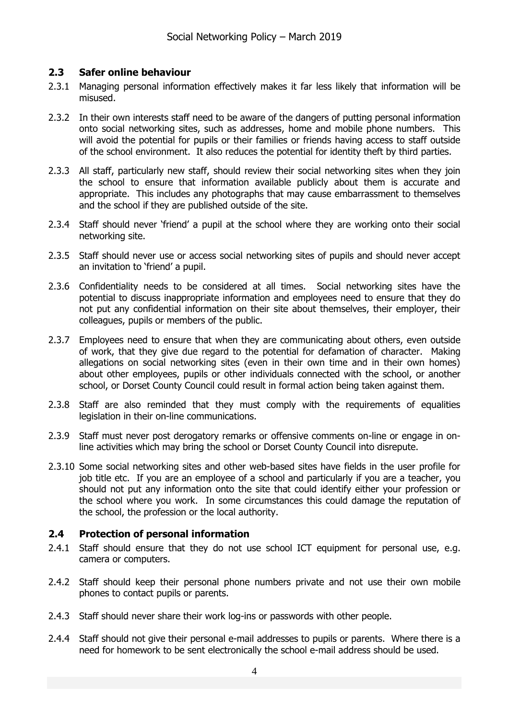## <span id="page-3-0"></span>**2.3 Safer online behaviour**

- 2.3.1 Managing personal information effectively makes it far less likely that information will be misused.
- 2.3.2 In their own interests staff need to be aware of the dangers of putting personal information onto social networking sites, such as addresses, home and mobile phone numbers. This will avoid the potential for pupils or their families or friends having access to staff outside of the school environment. It also reduces the potential for identity theft by third parties.
- 2.3.3 All staff, particularly new staff, should review their social networking sites when they join the school to ensure that information available publicly about them is accurate and appropriate. This includes any photographs that may cause embarrassment to themselves and the school if they are published outside of the site.
- 2.3.4 Staff should never 'friend' a pupil at the school where they are working onto their social networking site.
- 2.3.5 Staff should never use or access social networking sites of pupils and should never accept an invitation to 'friend' a pupil.
- 2.3.6 Confidentiality needs to be considered at all times. Social networking sites have the potential to discuss inappropriate information and employees need to ensure that they do not put any confidential information on their site about themselves, their employer, their colleagues, pupils or members of the public.
- 2.3.7 Employees need to ensure that when they are communicating about others, even outside of work, that they give due regard to the potential for defamation of character. Making allegations on social networking sites (even in their own time and in their own homes) about other employees, pupils or other individuals connected with the school, or another school, or Dorset County Council could result in formal action being taken against them.
- 2.3.8 Staff are also reminded that they must comply with the requirements of equalities legislation in their on-line communications.
- 2.3.9 Staff must never post derogatory remarks or offensive comments on-line or engage in online activities which may bring the school or Dorset County Council into disrepute.
- 2.3.10 Some social networking sites and other web-based sites have fields in the user profile for job title etc. If you are an employee of a school and particularly if you are a teacher, you should not put any information onto the site that could identify either your profession or the school where you work. In some circumstances this could damage the reputation of the school, the profession or the local authority.

## <span id="page-3-1"></span>**2.4 Protection of personal information**

- 2.4.1 Staff should ensure that they do not use school ICT equipment for personal use, e.g. camera or computers.
- 2.4.2 Staff should keep their personal phone numbers private and not use their own mobile phones to contact pupils or parents.
- 2.4.3 Staff should never share their work log-ins or passwords with other people.
- 2.4.4 Staff should not give their personal e-mail addresses to pupils or parents. Where there is a need for homework to be sent electronically the school e-mail address should be used.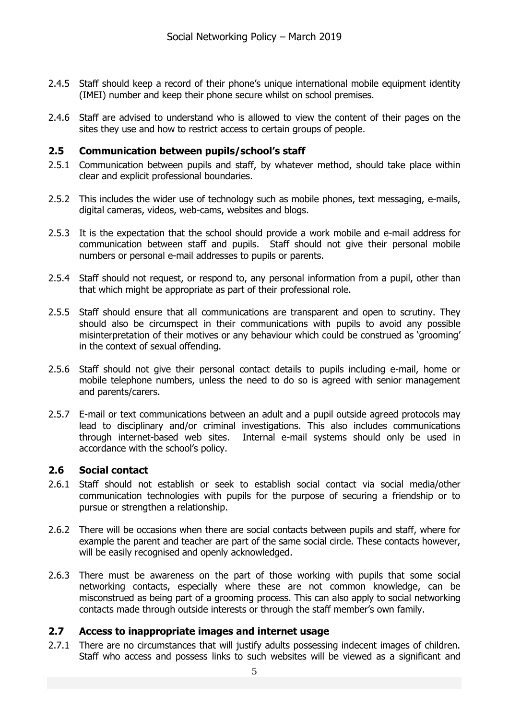- 2.4.5 Staff should keep a record of their phone's unique international mobile equipment identity (IMEI) number and keep their phone secure whilst on school premises.
- 2.4.6 Staff are advised to understand who is allowed to view the content of their pages on the sites they use and how to restrict access to certain groups of people.

### <span id="page-4-0"></span>**2.5 Communication between pupils/school's staff**

- 2.5.1 Communication between pupils and staff, by whatever method, should take place within clear and explicit professional boundaries.
- 2.5.2 This includes the wider use of technology such as mobile phones, text messaging, e-mails, digital cameras, videos, web-cams, websites and blogs.
- 2.5.3 It is the expectation that the school should provide a work mobile and e-mail address for communication between staff and pupils. Staff should not give their personal mobile numbers or personal e-mail addresses to pupils or parents.
- 2.5.4 Staff should not request, or respond to, any personal information from a pupil, other than that which might be appropriate as part of their professional role.
- 2.5.5 Staff should ensure that all communications are transparent and open to scrutiny. They should also be circumspect in their communications with pupils to avoid any possible misinterpretation of their motives or any behaviour which could be construed as 'grooming' in the context of sexual offending.
- 2.5.6 Staff should not give their personal contact details to pupils including e-mail, home or mobile telephone numbers, unless the need to do so is agreed with senior management and parents/carers.
- 2.5.7 E-mail or text communications between an adult and a pupil outside agreed protocols may lead to disciplinary and/or criminal investigations. This also includes communications through internet-based web sites. Internal e-mail systems should only be used in accordance with the school's policy.

## <span id="page-4-1"></span>**2.6 Social contact**

- 2.6.1 Staff should not establish or seek to establish social contact via social media/other communication technologies with pupils for the purpose of securing a friendship or to pursue or strengthen a relationship.
- 2.6.2 There will be occasions when there are social contacts between pupils and staff, where for example the parent and teacher are part of the same social circle. These contacts however, will be easily recognised and openly acknowledged.
- 2.6.3 There must be awareness on the part of those working with pupils that some social networking contacts, especially where these are not common knowledge, can be misconstrued as being part of a grooming process. This can also apply to social networking contacts made through outside interests or through the staff member's own family.

### <span id="page-4-2"></span>**2.7 Access to inappropriate images and internet usage**

2.7.1 There are no circumstances that will justify adults possessing indecent images of children. Staff who access and possess links to such websites will be viewed as a significant and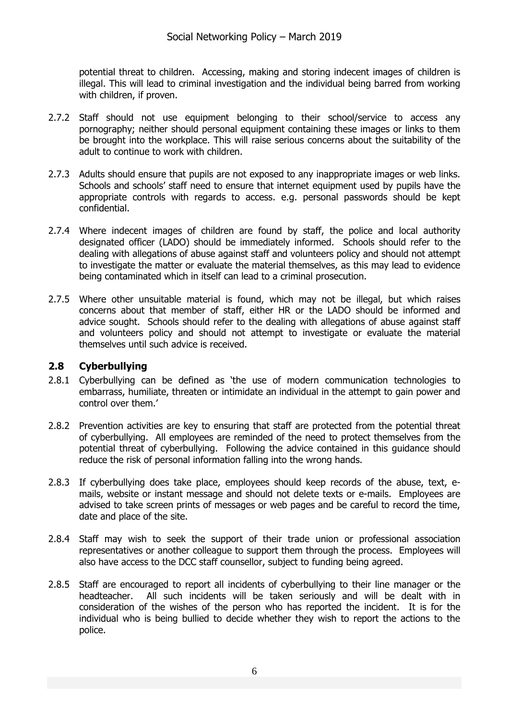potential threat to children. Accessing, making and storing indecent images of children is illegal. This will lead to criminal investigation and the individual being barred from working with children, if proven.

- 2.7.2 Staff should not use equipment belonging to their school/service to access any pornography; neither should personal equipment containing these images or links to them be brought into the workplace. This will raise serious concerns about the suitability of the adult to continue to work with children.
- 2.7.3 Adults should ensure that pupils are not exposed to any inappropriate images or web links. Schools and schools' staff need to ensure that internet equipment used by pupils have the appropriate controls with regards to access. e.g. personal passwords should be kept confidential.
- 2.7.4 Where indecent images of children are found by staff, the police and local authority designated officer (LADO) should be immediately informed. Schools should refer to the dealing with allegations of abuse against staff and volunteers policy and should not attempt to investigate the matter or evaluate the material themselves, as this may lead to evidence being contaminated which in itself can lead to a criminal prosecution.
- 2.7.5 Where other unsuitable material is found, which may not be illegal, but which raises concerns about that member of staff, either HR or the LADO should be informed and advice sought. Schools should refer to the dealing with allegations of abuse against staff and volunteers policy and should not attempt to investigate or evaluate the material themselves until such advice is received.

## <span id="page-5-0"></span>**2.8 Cyberbullying**

- 2.8.1 Cyberbullying can be defined as 'the use of modern communication technologies to embarrass, humiliate, threaten or intimidate an individual in the attempt to gain power and control over them.'
- 2.8.2 Prevention activities are key to ensuring that staff are protected from the potential threat of cyberbullying. All employees are reminded of the need to protect themselves from the potential threat of cyberbullying. Following the advice contained in this guidance should reduce the risk of personal information falling into the wrong hands.
- 2.8.3 If cyberbullying does take place, employees should keep records of the abuse, text, emails, website or instant message and should not delete texts or e-mails. Employees are advised to take screen prints of messages or web pages and be careful to record the time, date and place of the site.
- 2.8.4 Staff may wish to seek the support of their trade union or professional association representatives or another colleague to support them through the process. Employees will also have access to the DCC staff counsellor, subject to funding being agreed.
- 2.8.5 Staff are encouraged to report all incidents of cyberbullying to their line manager or the headteacher. All such incidents will be taken seriously and will be dealt with in consideration of the wishes of the person who has reported the incident. It is for the individual who is being bullied to decide whether they wish to report the actions to the police.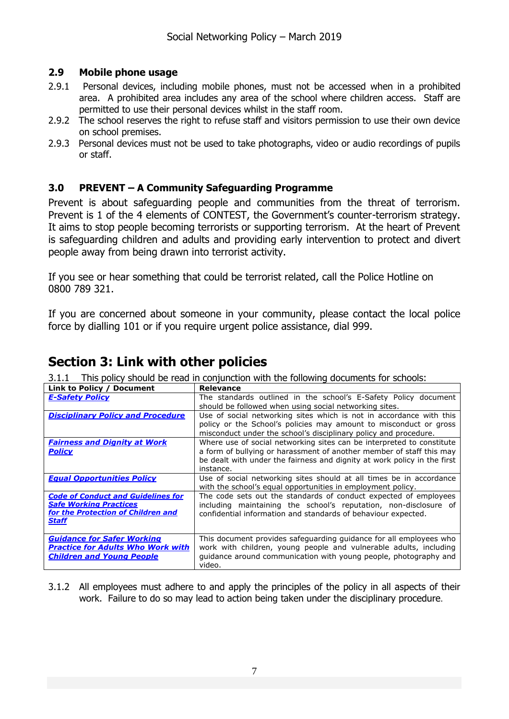# <span id="page-6-0"></span>**2.9 Mobile phone usage**

- 2.9.1 Personal devices, including mobile phones, must not be accessed when in a prohibited area. A prohibited area includes any area of the school where children access. Staff are permitted to use their personal devices whilst in the staff room.
- 2.9.2 The school reserves the right to refuse staff and visitors permission to use their own device on school premises.
- 2.9.3 Personal devices must not be used to take photographs, video or audio recordings of pupils or staff.

# <span id="page-6-1"></span>**3.0 PREVENT – A Community Safeguarding Programme**

Prevent is about safeguarding people and communities from the threat of terrorism. Prevent is 1 of the 4 elements of CONTEST, the Government's counter-terrorism strategy. It aims to stop people becoming terrorists or supporting terrorism. At the heart of Prevent is safeguarding children and adults and providing early intervention to protect and divert people away from being drawn into terrorist activity.

If you see or hear something that could be terrorist related, call the Police Hotline on 0800 789 321.

If you are concerned about someone in your community, please contact the local police force by dialling 101 or if you require urgent police assistance, dial 999.

# <span id="page-6-2"></span>**Section 3: Link with other policies**

3.1.1 This policy should be read in conjunction with the following documents for schools:

| Link to Policy / Document                                                                                                        | <b>Relevance</b>                                                                                                                                                                                                                       |
|----------------------------------------------------------------------------------------------------------------------------------|----------------------------------------------------------------------------------------------------------------------------------------------------------------------------------------------------------------------------------------|
| <b>E-Safety Policy</b>                                                                                                           | The standards outlined in the school's E-Safety Policy document<br>should be followed when using social networking sites.                                                                                                              |
| <b>Disciplinary Policy and Procedure</b>                                                                                         | Use of social networking sites which is not in accordance with this<br>policy or the School's policies may amount to misconduct or gross<br>misconduct under the school's disciplinary policy and procedure.                           |
| <b>Fairness and Dignity at Work</b><br><b>Policy</b>                                                                             | Where use of social networking sites can be interpreted to constitute<br>a form of bullying or harassment of another member of staff this may<br>be dealt with under the fairness and dignity at work policy in the first<br>instance. |
| <b>Equal Opportunities Policy</b>                                                                                                | Use of social networking sites should at all times be in accordance<br>with the school's equal opportunities in employment policy.                                                                                                     |
| <b>Code of Conduct and Guidelines for</b><br><b>Safe Working Practices</b><br>for the Protection of Children and<br><b>Staff</b> | The code sets out the standards of conduct expected of employees<br>including maintaining the school's reputation, non-disclosure of<br>confidential information and standards of behaviour expected.                                  |
| <b>Guidance for Safer Working</b><br><b>Practice for Adults Who Work with</b><br><b>Children and Young People</b>                | This document provides safeguarding guidance for all employees who<br>work with children, young people and vulnerable adults, including<br>guidance around communication with young people, photography and<br>video.                  |

<span id="page-6-3"></span>3.1.2 All employees must adhere to and apply the principles of the policy in all aspects of their work. Failure to do so may lead to action being taken under the disciplinary procedure.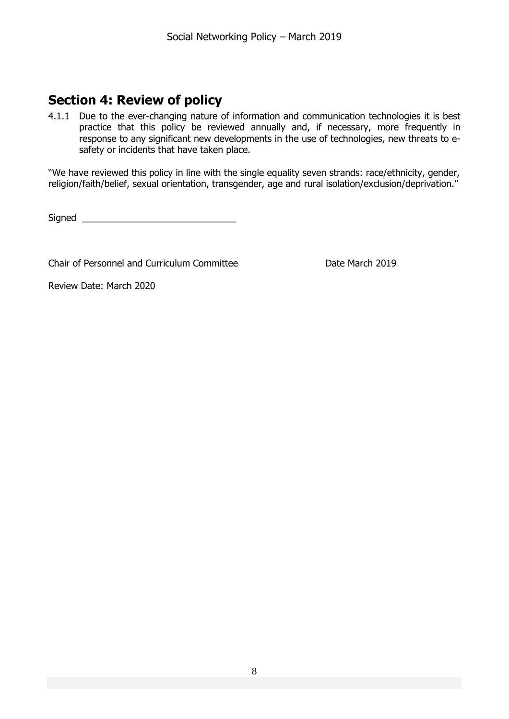# **Section 4: Review of policy**

4.1.1 Due to the ever-changing nature of information and communication technologies it is best practice that this policy be reviewed annually and, if necessary, more frequently in response to any significant new developments in the use of technologies, new threats to esafety or incidents that have taken place.

"We have reviewed this policy in line with the single equality seven strands: race/ethnicity, gender, religion/faith/belief, sexual orientation, transgender, age and rural isolation/exclusion/deprivation."

Signed \_\_\_\_\_\_\_\_\_\_\_\_\_\_\_\_\_\_\_\_\_\_\_\_\_\_\_\_\_\_

Chair of Personnel and Curriculum Committee **Date March 2019** 

Review Date: March 2020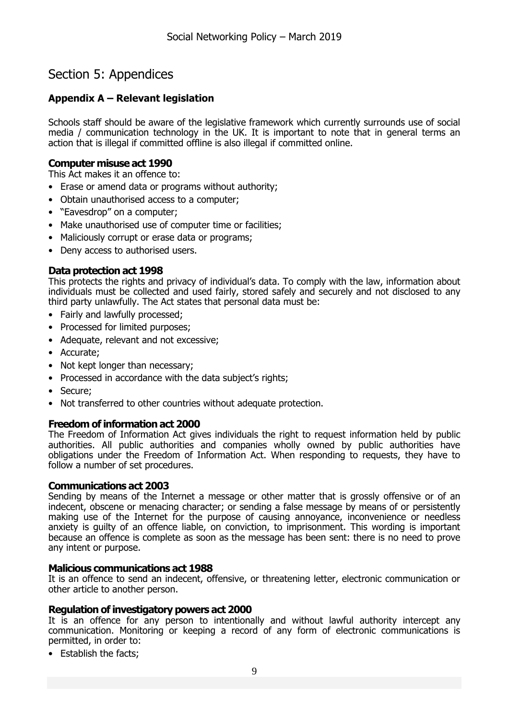# <span id="page-8-0"></span>Section 5: Appendices

# <span id="page-8-1"></span>**Appendix A – Relevant legislation**

Schools staff should be aware of the legislative framework which currently surrounds use of social media / communication technology in the UK. It is important to note that in general terms an action that is illegal if committed offline is also illegal if committed online.

### **Computer misuse act 1990**

This Act makes it an offence to:

- Erase or amend data or programs without authority;
- Obtain unauthorised access to a computer;
- "Eavesdrop" on a computer;
- Make unauthorised use of computer time or facilities;
- Maliciously corrupt or erase data or programs;
- Deny access to authorised users.

### **Data protection act 1998**

This protects the rights and privacy of individual's data. To comply with the law, information about individuals must be collected and used fairly, stored safely and securely and not disclosed to any third party unlawfully. The Act states that personal data must be:

- Fairly and lawfully processed;
- Processed for limited purposes;
- Adequate, relevant and not excessive;
- Accurate;
- Not kept longer than necessary;
- Processed in accordance with the data subject's rights;
- Secure;
- Not transferred to other countries without adequate protection.

### **Freedom of information act 2000**

The Freedom of Information Act gives individuals the right to request information held by public authorities. All public authorities and companies wholly owned by public authorities have obligations under the Freedom of Information Act. When responding to requests, they have to follow a number of set procedures.

#### **Communications act 2003**

Sending by means of the Internet a message or other matter that is grossly offensive or of an indecent, obscene or menacing character; or sending a false message by means of or persistently making use of the Internet for the purpose of causing annoyance, inconvenience or needless anxiety is guilty of an offence liable, on conviction, to imprisonment. This wording is important because an offence is complete as soon as the message has been sent: there is no need to prove any intent or purpose.

#### **Malicious communications act 1988**

It is an offence to send an indecent, offensive, or threatening letter, electronic communication or other article to another person.

#### **Regulation of investigatory powers act 2000**

It is an offence for any person to intentionally and without lawful authority intercept any communication. Monitoring or keeping a record of any form of electronic communications is permitted, in order to:

• Establish the facts;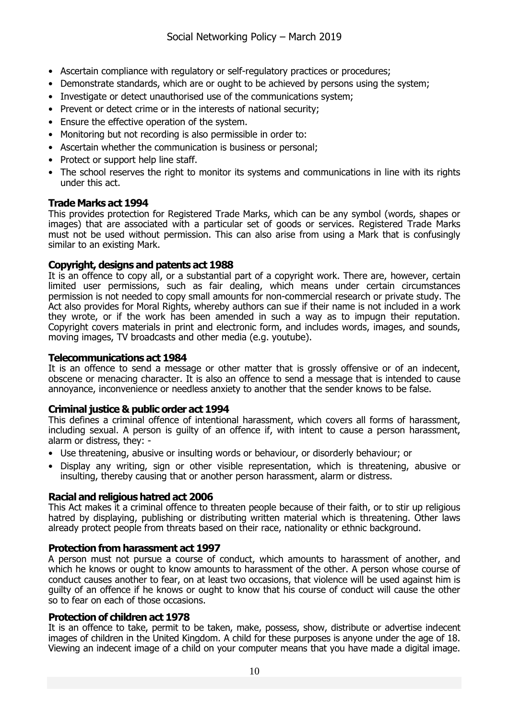- Ascertain compliance with regulatory or self-regulatory practices or procedures;
- Demonstrate standards, which are or ought to be achieved by persons using the system;
- Investigate or detect unauthorised use of the communications system;
- Prevent or detect crime or in the interests of national security;
- Ensure the effective operation of the system.
- Monitoring but not recording is also permissible in order to:
- Ascertain whether the communication is business or personal;
- Protect or support help line staff.
- The school reserves the right to monitor its systems and communications in line with its rights under this act.

### **Trade Marks act 1994**

This provides protection for Registered Trade Marks, which can be any symbol (words, shapes or images) that are associated with a particular set of goods or services. Registered Trade Marks must not be used without permission. This can also arise from using a Mark that is confusingly similar to an existing Mark.

#### **Copyright, designs and patents act 1988**

It is an offence to copy all, or a substantial part of a copyright work. There are, however, certain limited user permissions, such as fair dealing, which means under certain circumstances permission is not needed to copy small amounts for non-commercial research or private study. The Act also provides for Moral Rights, whereby authors can sue if their name is not included in a work they wrote, or if the work has been amended in such a way as to impugn their reputation. Copyright covers materials in print and electronic form, and includes words, images, and sounds, moving images, TV broadcasts and other media (e.g. youtube).

#### **Telecommunications act 1984**

It is an offence to send a message or other matter that is grossly offensive or of an indecent, obscene or menacing character. It is also an offence to send a message that is intended to cause annoyance, inconvenience or needless anxiety to another that the sender knows to be false.

#### **Criminal justice & public order act 1994**

This defines a criminal offence of intentional harassment, which covers all forms of harassment, including sexual. A person is guilty of an offence if, with intent to cause a person harassment, alarm or distress, they: -

- Use threatening, abusive or insulting words or behaviour, or disorderly behaviour; or
- Display any writing, sign or other visible representation, which is threatening, abusive or insulting, thereby causing that or another person harassment, alarm or distress.

### **Racial and religious hatred act 2006**

This Act makes it a criminal offence to threaten people because of their faith, or to stir up religious hatred by displaying, publishing or distributing written material which is threatening. Other laws already protect people from threats based on their race, nationality or ethnic background.

#### **Protection from harassment act 1997**

A person must not pursue a course of conduct, which amounts to harassment of another, and which he knows or ought to know amounts to harassment of the other. A person whose course of conduct causes another to fear, on at least two occasions, that violence will be used against him is guilty of an offence if he knows or ought to know that his course of conduct will cause the other so to fear on each of those occasions.

#### **Protection of children act 1978**

It is an offence to take, permit to be taken, make, possess, show, distribute or advertise indecent images of children in the United Kingdom. A child for these purposes is anyone under the age of 18. Viewing an indecent image of a child on your computer means that you have made a digital image.